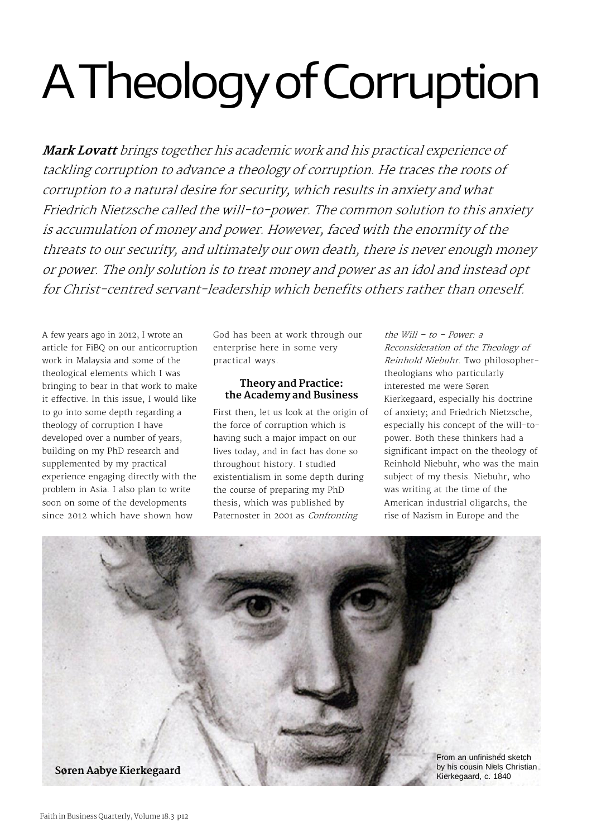# A Theology of Corruption

*Mark Lovatt brings together his academic work and his practical experience of tackling corruption to advance a theology of corruption. He traces the roots of corruption to a natural desire for security, which results in anxiety and what Friedrich Nietzsche called the will-to-power. The common solution to this anxiety is accumulation of money and power. However, faced with the enormity of the threats to our security, and ultimately our own death, there is never enough money or power. The only solution is to treat money and power as an idol and instead opt for Christ-centred servant-leadership which benefits others rather than oneself.*

A few years ago in 2012, I wrote an article for FiBQ on our anticorruption work in Malaysia and some of the theological elements which I was bringing to bear in that work to make it effective. In this issue, I would like to go into some depth regarding a theology of corruption I have developed over a number of years, building on my PhD research and supplemented by my practical experience engaging directly with the problem in Asia. I also plan to write soon on some of the developments since 2012 which have shown how

God has been at work through our enterprise here in some very practical ways.

# **Theory and Practice: the Academy and Business**

First then, let us look at the origin of the force of corruption which is having such a major impact on our lives today, and in fact has done so throughout history. I studied existentialism in some depth during the course of preparing my PhD thesis, which was published by Paternoster in 2001 as *Confronting*

*the Will – to – Power: a Reconsideration of the Theology of Reinhold Niebuhr*. Two philosophertheologians who particularly interested me were Søren Kierkegaard, especially his doctrine of anxiety; and Friedrich Nietzsche, especially his concept of the will-topower. Both these thinkers had a significant impact on the theology of Reinhold Niebuhr, who was the main subject of my thesis. Niebuhr, who was writing at the time of the American industrial oligarchs, the rise of Nazism in Europe and the

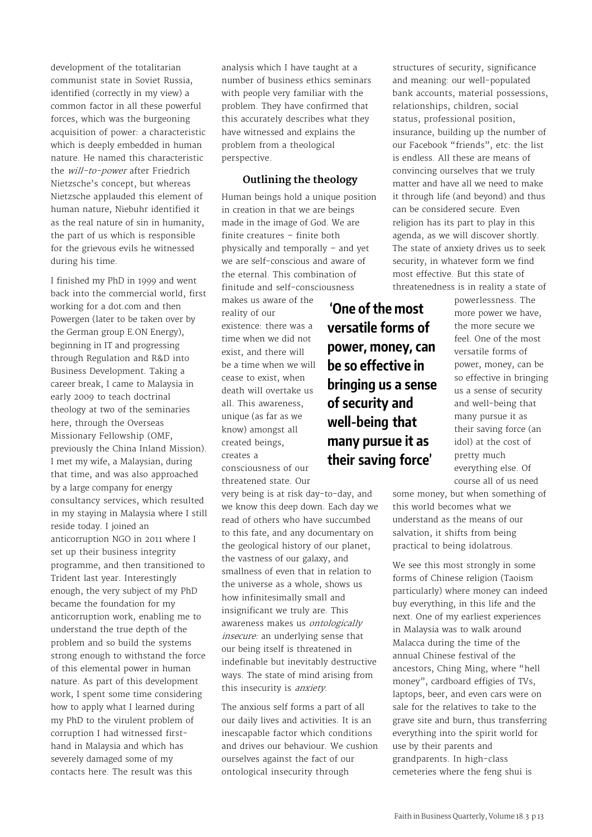development of the totalitarian communist state in Soviet Russia, identified (correctly in my view) a common factor in all these powerful forces, which was the burgeoning acquisition of power: a characteristic which is deeply embedded in human nature. He named this characteristic the *will-to-power* after Friedrich Nietzsche's concept, but whereas Nietzsche applauded this element of human nature, Niebuhr identified it as the real nature of sin in humanity, the part of us which is responsible for the grievous evils he witnessed during his time.

I finished my PhD in 1999 and went back into the commercial world, first working for a dot.com and then Powergen (later to be taken over by the German group E.ON Energy), beginning in IT and progressing through Regulation and R&D into Business Development. Taking a career break, I came to Malaysia in early 2009 to teach doctrinal theology at two of the seminaries here, through the Overseas Missionary Fellowship (OMF, previously the China Inland Mission). I met my wife, a Malaysian, during that time, and was also approached by a large company for energy consultancy services, which resulted in my staying in Malaysia where I still reside today. I joined an anticorruption NGO in 2011 where I set up their business integrity programme, and then transitioned to Trident last year. Interestingly enough, the very subject of my PhD became the foundation for my anticorruption work, enabling me to understand the true depth of the problem and so build the systems strong enough to withstand the force of this elemental power in human nature. As part of this development work, I spent some time considering how to apply what I learned during my PhD to the virulent problem of corruption I had witnessed firsthand in Malaysia and which has severely damaged some of my contacts here. The result was this

analysis which I have taught at a number of business ethics seminars with people very familiar with the problem. They have confirmed that this accurately describes what they have witnessed and explains the problem from a theological perspective.

# **Outlining the theology**

Human beings hold a unique position in creation in that we are beings made in the image of God. We are finite creatures – finite both physically and temporally – and yet we are self-conscious and aware of the eternal. This combination of finitude and self-consciousness

> **'One of the most versatile forms of**

**power, money, can be so effective in**

**bringing us a sense**

**many pursue it as their saving force'**

**of security and well-being that**

makes us aware of the reality of our existence: there was a time when we did not exist, and there will be a time when we will cease to exist, when death will overtake us all. This awareness, unique (as far as we know) amongst all created beings, creates a consciousness of our

threatened state. Our

very being is at risk day-to-day, and we know this deep down. Each day we read of others who have succumbed to this fate, and any documentary on the geological history of our planet, the vastness of our galaxy, and smallness of even that in relation to the universe as a whole, shows us how infinitesimally small and insignificant we truly are. This awareness makes us *ontologically insecure:* an underlying sense that our being itself is threatened in indefinable but inevitably destructive ways. The state of mind arising from this insecurity is *anxiety*.

The anxious self forms a part of all our daily lives and activities. It is an inescapable factor which conditions and drives our behaviour. We cushion ourselves against the fact of our ontological insecurity through

structures of security, significance and meaning: our well-populated bank accounts, material possessions, relationships, children, social status, professional position, insurance, building up the number of our Facebook "friends", etc: the list is endless. All these are means of convincing ourselves that we truly matter and have all we need to make it through life (and beyond) and thus can be considered secure. Even religion has its part to play in this agenda, as we will discover shortly. The state of anxiety drives us to seek security, in whatever form we find most effective. But this state of threatenedness is in reality a state of

> powerlessness. The more power we have, the more secure we feel. One of the most versatile forms of power, money, can be so effective in bringing us a sense of security and well-being that many pursue it as their saving force (an idol) at the cost of pretty much everything else. Of course all of us need

some money, but when something of this world becomes what we understand as the means of our salvation, it shifts from being practical to being idolatrous.

We see this most strongly in some forms of Chinese religion (Taoism particularly) where money can indeed buy everything, in this life and the next. One of my earliest experiences in Malaysia was to walk around Malacca during the time of the annual Chinese festival of the ancestors, Ching Ming, where "hell money", cardboard effigies of TVs, laptops, beer, and even cars were on sale for the relatives to take to the grave site and burn, thus transferring everything into the spirit world for use by their parents and grandparents. In high-class cemeteries where the feng shui is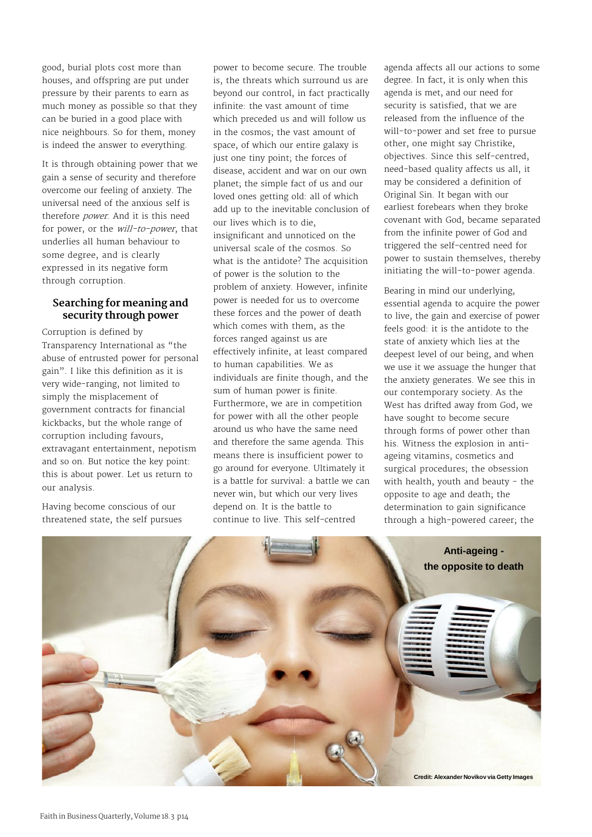good, burial plots cost more than houses, and offspring are put under pressure by their parents to earn as much money as possible so that they can be buried in a good place with nice neighbours. So for them, money is indeed the answer to everything.

It is through obtaining power that we gain a sense of security and therefore overcome our feeling of anxiety. The universal need of the anxious self is therefore *power*. And it is this need for power, or the *will-to-power*, that underlies all human behaviour to some degree, and is clearly expressed in its negative form through corruption.

### **Searching for meaning and security through power**

Corruption is defined by Transparency International as "the abuse of entrusted power for personal gain". I like this definition as it is very wide-ranging, not limited to simply the misplacement of government contracts for financial kickbacks, but the whole range of corruption including favours, extravagant entertainment, nepotism and so on. But notice the key point: this is about power. Let us return to our analysis.

Having become conscious of our threatened state, the self pursues power to become secure. The trouble is, the threats which surround us are beyond our control, in fact practically infinite: the vast amount of time which preceded us and will follow us in the cosmos; the vast amount of space, of which our entire galaxy is just one tiny point; the forces of disease, accident and war on our own planet; the simple fact of us and our loved ones getting old: all of which add up to the inevitable conclusion of our lives which is to die, insignificant and unnoticed on the universal scale of the cosmos. So what is the antidote? The acquisition of power is the solution to the problem of anxiety. However, infinite power is needed for us to overcome these forces and the power of death which comes with them, as the forces ranged against us are effectively infinite, at least compared to human capabilities. We as individuals are finite though, and the sum of human power is finite. Furthermore, we are in competition for power with all the other people around us who have the same need and therefore the same agenda. This means there is insufficient power to go around for everyone. Ultimately it is a battle for survival: a battle we can never win, but which our very lives depend on. It is the battle to continue to live. This self-centred

agenda affects all our actions to some degree. In fact, it is only when this agenda is met, and our need for security is satisfied, that we are released from the influence of the will-to-power and set free to pursue other, one might say Christike, objectives. Since this self-centred, need-based quality affects us all, it may be considered a definition of Original Sin. It began with our earliest forebears when they broke covenant with God, became separated from the infinite power of God and triggered the self-centred need for power to sustain themselves, thereby initiating the will-to-power agenda.

Bearing in mind our underlying, essential agenda to acquire the power to live, the gain and exercise of power feels good: it is the antidote to the state of anxiety which lies at the deepest level of our being, and when we use it we assuage the hunger that the anxiety generates. We see this in our contemporary society. As the West has drifted away from God, we have sought to become secure through forms of power other than his. Witness the explosion in antiageing vitamins, cosmetics and surgical procedures; the obsession with health, youth and beauty - the opposite to age and death; the determination to gain significance through a high-powered career; the

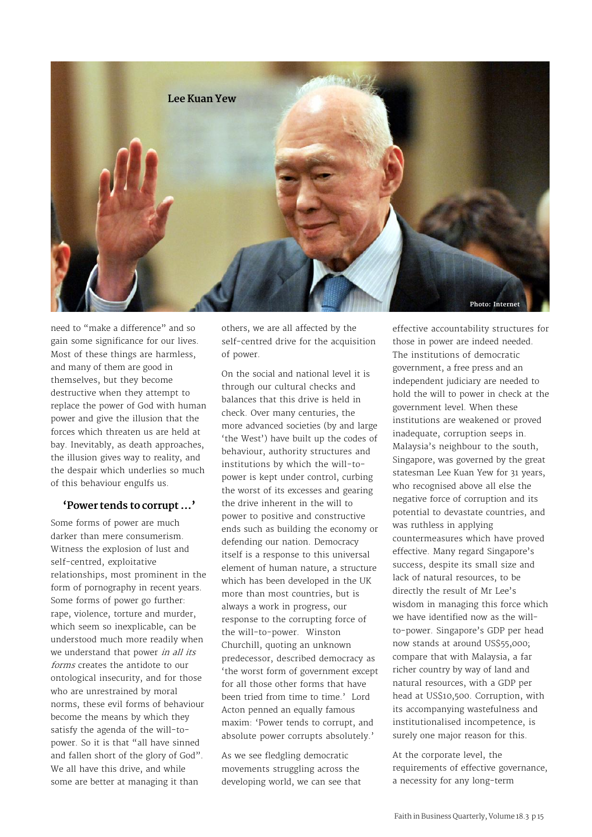

need to "make a difference" and so gain some significance for our lives. Most of these things are harmless, and many of them are good in themselves, but they become destructive when they attempt to replace the power of God with human power and give the illusion that the forces which threaten us are held at bay. Inevitably, as death approaches, the illusion gives way to reality, and the despair which underlies so much of this behaviour engulfs us.

#### **'Power tends to corrupt …'**

Some forms of power are much darker than mere consumerism. Witness the explosion of lust and self-centred, exploitative relationships, most prominent in the form of pornography in recent years. Some forms of power go further: rape, violence, torture and murder, which seem so inexplicable, can be understood much more readily when we understand that power *in all its forms* creates the antidote to our ontological insecurity, and for those who are unrestrained by moral norms, these evil forms of behaviour become the means by which they satisfy the agenda of the will-topower. So it is that "all have sinned and fallen short of the glory of God". We all have this drive, and while some are better at managing it than

others, we are all affected by the self-centred drive for the acquisition of power.

On the social and national level it is through our cultural checks and balances that this drive is held in check. Over many centuries, the more advanced societies (by and large 'the West') have built up the codes of behaviour, authority structures and institutions by which the will-topower is kept under control, curbing the worst of its excesses and gearing the drive inherent in the will to power to positive and constructive ends such as building the economy or defending our nation. Democracy itself is a response to this universal element of human nature, a structure which has been developed in the UK more than most countries, but is always a work in progress, our response to the corrupting force of the will-to-power. Winston Churchill, quoting an unknown predecessor, described democracy as 'the worst form of government except for all those other forms that have been tried from time to time.' Lord Acton penned an equally famous maxim: 'Power tends to corrupt, and absolute power corrupts absolutely.'

As we see fledgling democratic movements struggling across the developing world, we can see that effective accountability structures for those in power are indeed needed. The institutions of democratic government, a free press and an independent judiciary are needed to hold the will to power in check at the government level. When these institutions are weakened or proved inadequate, corruption seeps in. Malaysia's neighbour to the south, Singapore, was governed by the great statesman Lee Kuan Yew for 31 years, who recognised above all else the negative force of corruption and its potential to devastate countries, and was ruthless in applying countermeasures which have proved effective. Many regard Singapore's success, despite its small size and lack of natural resources, to be directly the result of Mr Lee's wisdom in managing this force which we have identified now as the willto-power. Singapore's GDP per head now stands at around US\$55,000; compare that with Malaysia, a far richer country by way of land and natural resources, with a GDP per head at US\$10,500. Corruption, with its accompanying wastefulness and institutionalised incompetence, is surely one major reason for this.

At the corporate level, the requirements of effective governance, a necessity for any long-term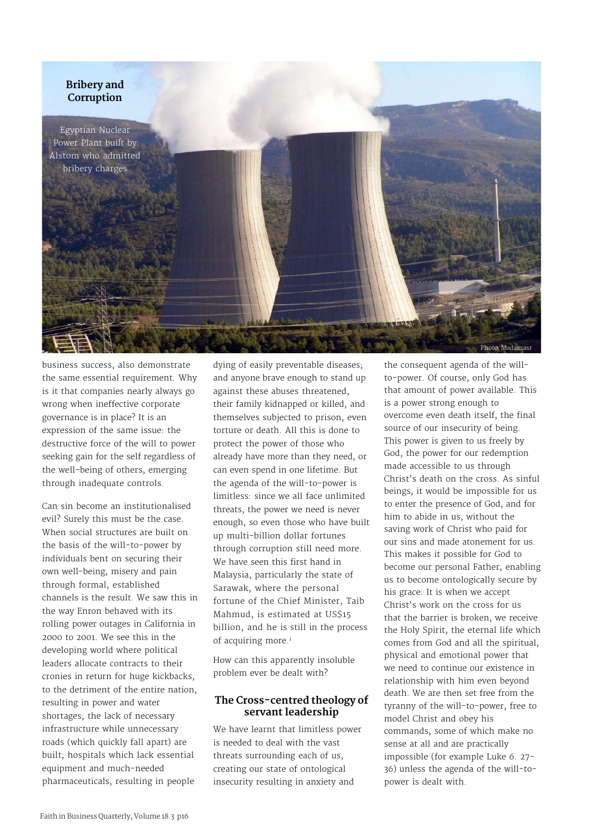

business success, also demonstrate the same essential requirement. Why is it that companies nearly always go wrong when ineffective corporate governance is in place? It is an expression of the same issue: the destructive force of the will to power seeking gain for the self regardless of the well-being of others, emerging through inadequate controls.

Can sin become an institutionalised evil? Surely this must be the case. When social structures are built on the basis of the will-to-power by individuals bent on securing their own well-being, misery and pain through formal, established channels is the result. We saw this in the way Enron behaved with its rolling power outages in California in 2000 to 2001. We see this in the developing world where political leaders allocate contracts to their cronies in return for huge kickbacks, to the detriment of the entire nation, resulting in power and water shortages; the lack of necessary infrastructure while unnecessary roads (which quickly fall apart) are built; hospitals which lack essential equipment and much-needed pharmaceuticals, resulting in people

dying of easily preventable diseases; and anyone brave enough to stand up against these abuses threatened, their family kidnapped or killed, and themselves subjected to prison, even torture or death. All this is done to protect the power of those who already have more than they need, or can even spend in one lifetime. But the agenda of the will-to-power is limitless: since we all face unlimited threats, the power we need is never enough, so even those who have built up multi-billion dollar fortunes through corruption still need more. We have seen this first hand in Malaysia, particularly the state of Sarawak, where the personal fortune of the Chief Minister, Taib Mahmud, is estimated at US\$15 billion, and he is still in the process of acquiring more.<sup>1</sup>

How can this apparently insoluble problem ever be dealt with?

#### **The Cross-centred theology of servant leadership**

We have learnt that limitless power is needed to deal with the vast threats surrounding each of us, creating our state of ontological insecurity resulting in anxiety and

the consequent agenda of the willto-power. Of course, only God has that amount of power available. This is a power strong enough to overcome even death itself, the final source of our insecurity of being. This power is given to us freely by God, the power for our redemption made accessible to us through Christ's death on the cross. As sinful beings, it would be impossible for us to enter the presence of God, and for him to abide in us, without the saving work of Christ who paid for our sins and made atonement for us. This makes it possible for God to become our personal Father, enabling us to become ontologically secure by his grace. It is when we accept Christ's work on the cross for us that the barrier is broken, we receive the Holy Spirit, the eternal life which comes from God and all the spiritual, physical and emotional power that we need to continue our existence in relationship with him even beyond death. We are then set free from the tyranny of the will-to-power, free to model Christ and obey his commands, some of which make no sense at all and are practically impossible (for example Luke 6. 27- 36) unless the agenda of the will-topower is dealt with.